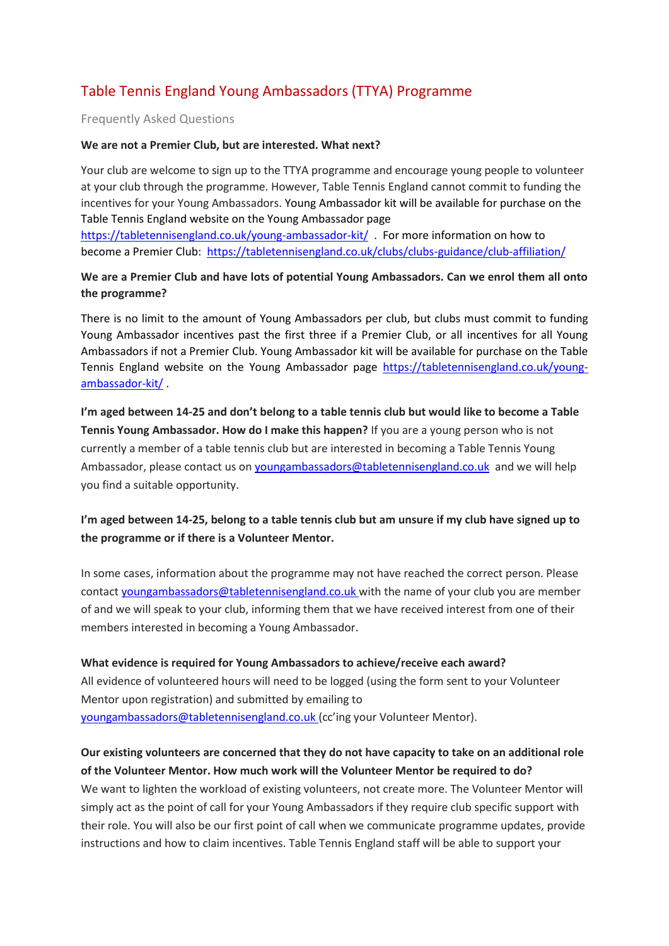# Table Tennis England Young Ambassadors (TTYA) Programme

### Frequently Asked Questions

#### **We are not a Premier Club, but are interested. What next?**

Your club are welcome to sign up to the TTYA programme and encourage young people to volunteer at your club through the programme. However, Table Tennis England cannot commit to funding the incentives for your Young Ambassadors. Young Ambassador kit will be available for purchase on the Table Tennis England website on the Young Ambassador page

<https://tabletennisengland.co.uk/young-ambassador-kit/>. For more information on how to become a Premier Club: <https://tabletennisengland.co.uk/clubs/clubs-guidance/club-affiliation/>

## **We are a Premier Club and have lots of potential Young Ambassadors. Can we enrol them all onto the programme?**

There is no limit to the amount of Young Ambassadors per club, but clubs must commit to funding Young Ambassador incentives past the first three if a Premier Club, or all incentives for all Young Ambassadors if not a Premier Club. Young Ambassador kit will be available for purchase on the Table Tennis England website on the Young Ambassador page [https://tabletennisengland.co.uk/young](https://tabletennisengland.co.uk/young-ambassador-kit/)[ambassador-kit/](https://tabletennisengland.co.uk/young-ambassador-kit/) .

**I'm aged between 14-25 and don't belong to a table tennis club but would like to become a Table Tennis Young Ambassador. How do I make this happen?** If you are a young person who is not currently a member of a table tennis club but are interested in becoming a Table Tennis Young Ambassador, please contact us on [youngambassadors@tabletennisengland.co.uk](mailto:youngambassadors@tabletennisengland.co.uk) and we will help you find a suitable opportunity.

## **I'm aged between 14-25, belong to a table tennis club but am unsure if my club have signed up to the programme or if there is a Volunteer Mentor.**

In some cases, information about the programme may not have reached the correct person. Please contact [youngambassadors@tabletennisengland.co.uk](mailto:prideoftabletennis@tabletennisengland.co.uk) with the name of your club you are member of and we will speak to your club, informing them that we have received interest from one of their members interested in becoming a Young Ambassador.

**What evidence is required for Young Ambassadors to achieve/receive each award?**  All evidence of volunteered hours will need to be logged (using the form sent to your Volunteer Mentor upon registration) and submitted by emailing to [youngambassadors@tabletennisengland.co.uk](mailto:prideoftabletennis@tabletennisengland.co.uk) (cc'ing your Volunteer Mentor).

# **Our existing volunteers are concerned that they do not have capacity to take on an additional role of the Volunteer Mentor. How much work will the Volunteer Mentor be required to do?**

We want to lighten the workload of existing volunteers, not create more. The Volunteer Mentor will simply act as the point of call for your Young Ambassadors if they require club specific support with their role. You will also be our first point of call when we communicate programme updates, provide instructions and how to claim incentives. Table Tennis England staff will be able to support your